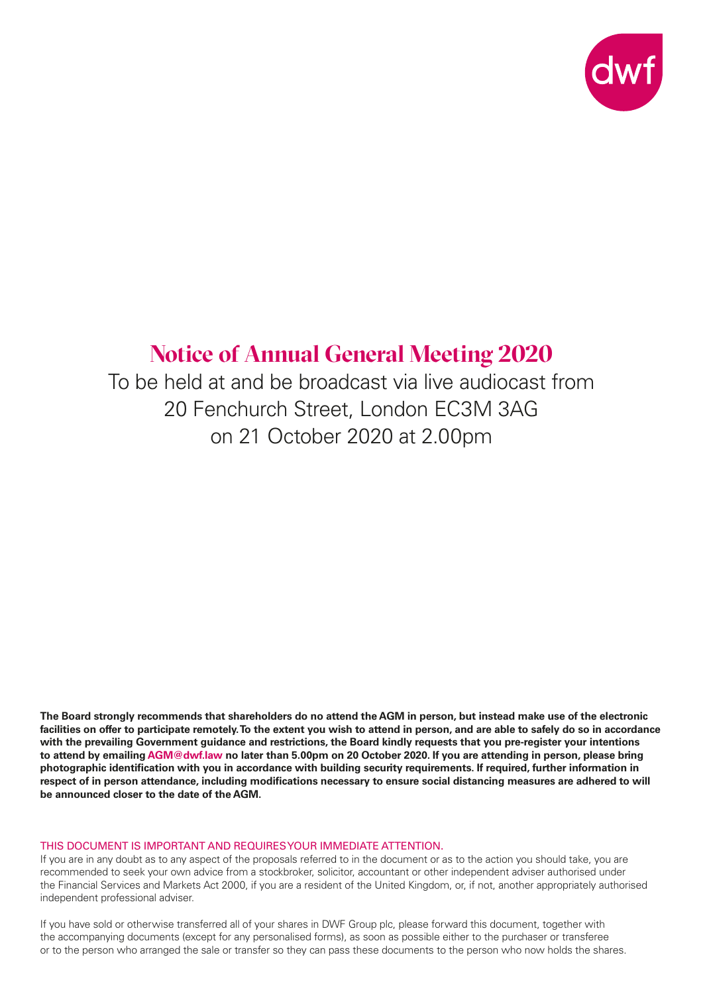

# **Notice of Annual General Meeting 2020**

To be held at and be broadcast via live audiocast from 20 Fenchurch Street, London EC3M 3AG on 21 October 2020 at 2.00pm

**The Board strongly recommends that shareholders do no attend the AGM in person, but instead make use of the electronic facilities on offer to participate remotely. To the extent you wish to attend in person, and are able to safely do so in accordance with the prevailing Government guidance and restrictions, the Board kindly requests that you pre-register your intentions to attend by emailing AGM@dwf.law no later than 5.00pm on 20 October 2020. If you are attending in person, please bring photographic identification with you in accordance with building security requirements. If required, further information in respect of in person attendance, including modifications necessary to ensure social distancing measures are adhered to will be announced closer to the date of the AGM.**

### THIS DOCUMENT IS IMPORTANT AND REQUIRES YOUR IMMEDIATE ATTENTION.

If you are in any doubt as to any aspect of the proposals referred to in the document or as to the action you should take, you are recommended to seek your own advice from a stockbroker, solicitor, accountant or other independent adviser authorised under the Financial Services and Markets Act 2000, if you are a resident of the United Kingdom, or, if not, another appropriately authorised independent professional adviser.

If you have sold or otherwise transferred all of your shares in DWF Group plc, please forward this document, together with the accompanying documents (except for any personalised forms), as soon as possible either to the purchaser or transferee or to the person who arranged the sale or transfer so they can pass these documents to the person who now holds the shares.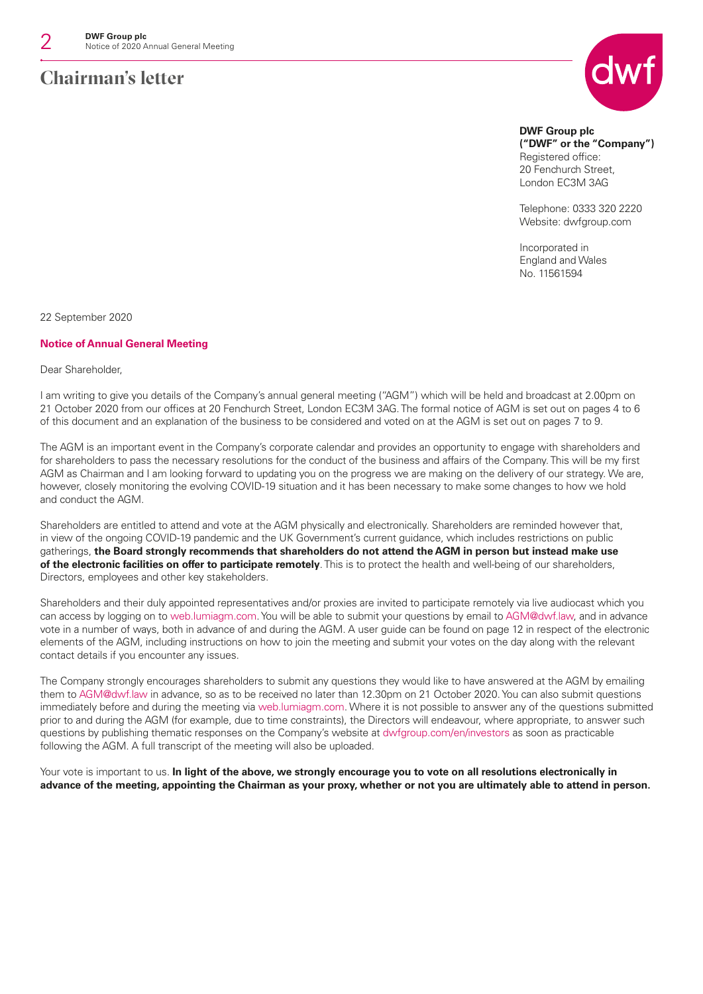### **Chairman's letter**



**DWF Group plc ("DWF" or the "Company")** Registered office: 20 Fenchurch Street, London EC3M 3AG

Telephone: 0333 320 2220 Website: dwfgroup.com

Incorporated in England and Wales No. 11561594

22 September 2020

#### **Notice of Annual General Meeting**

Dear Shareholder,

I am writing to give you details of the Company's annual general meeting ("AGM") which will be held and broadcast at 2.00pm on 21 October 2020 from our offices at 20 Fenchurch Street, London EC3M 3AG. The formal notice of AGM is set out on pages 4 to 6 of this document and an explanation of the business to be considered and voted on at the AGM is set out on pages 7 to 9.

The AGM is an important event in the Company's corporate calendar and provides an opportunity to engage with shareholders and for shareholders to pass the necessary resolutions for the conduct of the business and affairs of the Company. This will be my first AGM as Chairman and I am looking forward to updating you on the progress we are making on the delivery of our strategy. We are, however, closely monitoring the evolving COVID-19 situation and it has been necessary to make some changes to how we hold and conduct the AGM.

Shareholders are entitled to attend and vote at the AGM physically and electronically. Shareholders are reminded however that, in view of the ongoing COVID-19 pandemic and the UK Government's current guidance, which includes restrictions on public gatherings, **the Board strongly recommends that shareholders do not attend the AGM in person but instead make use of the electronic facilities on offer to participate remotely**. This is to protect the health and well-being of our shareholders, Directors, employees and other key stakeholders.

Shareholders and their duly appointed representatives and/or proxies are invited to participate remotely via live audiocast which you can access by logging on to web.lumiagm.com. You will be able to submit your questions by email to AGM@dwf.law, and in advance vote in a number of ways, both in advance of and during the AGM. A user guide can be found on page 12 in respect of the electronic elements of the AGM, including instructions on how to join the meeting and submit your votes on the day along with the relevant contact details if you encounter any issues.

The Company strongly encourages shareholders to submit any questions they would like to have answered at the AGM by emailing them to AGM@dwf.law in advance, so as to be received no later than 12.30pm on 21 October 2020. You can also submit questions immediately before and during the meeting via web.lumiagm.com. Where it is not possible to answer any of the questions submitted prior to and during the AGM (for example, due to time constraints), the Directors will endeavour, where appropriate, to answer such questions by publishing thematic responses on the Company's website at dwfgroup.com/en/investors as soon as practicable following the AGM. A full transcript of the meeting will also be uploaded.

Your vote is important to us. In light of the above, we strongly encourage you to vote on all resolutions electronically in **advance of the meeting, appointing the Chairman as your proxy, whether or not you are ultimately able to attend in person.**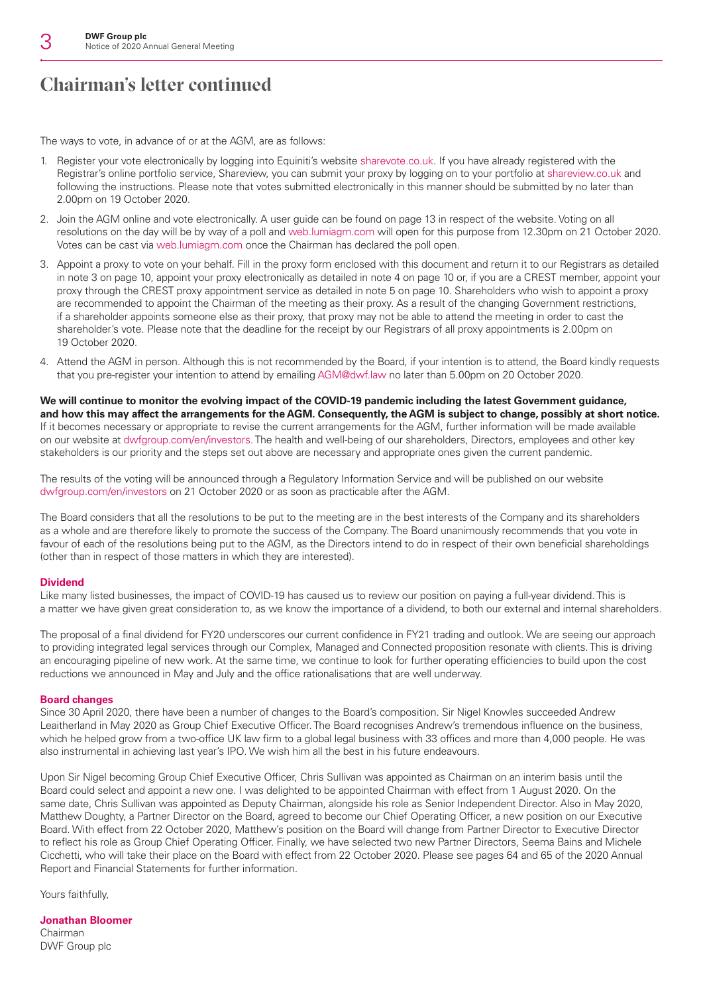# **Chairman's letter continued**

The ways to vote, in advance of or at the AGM, are as follows:

- 1. Register your vote electronically by logging into Equiniti's website sharevote.co.uk. If you have already registered with the Registrar's online portfolio service, Shareview, you can submit your proxy by logging on to your portfolio at shareview.co.uk and following the instructions. Please note that votes submitted electronically in this manner should be submitted by no later than 2.00pm on 19 October 2020.
- 2. Join the AGM online and vote electronically. A user guide can be found on page 13 in respect of the website. Voting on all resolutions on the day will be by way of a poll and web.lumiagm.com will open for this purpose from 12.30pm on 21 October 2020. Votes can be cast via web.lumiagm.com once the Chairman has declared the poll open.
- 3. Appoint a proxy to vote on your behalf. Fill in the proxy form enclosed with this document and return it to our Registrars as detailed in note 3 on page 10, appoint your proxy electronically as detailed in note 4 on page 10 or, if you are a CREST member, appoint your proxy through the CREST proxy appointment service as detailed in note 5 on page 10. Shareholders who wish to appoint a proxy are recommended to appoint the Chairman of the meeting as their proxy. As a result of the changing Government restrictions, if a shareholder appoints someone else as their proxy, that proxy may not be able to attend the meeting in order to cast the shareholder's vote. Please note that the deadline for the receipt by our Registrars of all proxy appointments is 2.00pm on 19 October 2020.
- 4. Attend the AGM in person. Although this is not recommended by the Board, if your intention is to attend, the Board kindly requests that you pre-register your intention to attend by emailing AGM@dwf.law no later than 5.00pm on 20 October 2020.

**We will continue to monitor the evolving impact of the COVID-19 pandemic including the latest Government guidance, and how this may affect the arrangements for the AGM. Consequently, the AGM is subject to change, possibly at short notice.** If it becomes necessary or appropriate to revise the current arrangements for the AGM, further information will be made available on our website at dwfgroup.com/en/investors. The health and well-being of our shareholders, Directors, employees and other key stakeholders is our priority and the steps set out above are necessary and appropriate ones given the current pandemic.

The results of the voting will be announced through a Regulatory Information Service and will be published on our website dwfgroup.com/en/investors on 21 October 2020 or as soon as practicable after the AGM.

The Board considers that all the resolutions to be put to the meeting are in the best interests of the Company and its shareholders as a whole and are therefore likely to promote the success of the Company. The Board unanimously recommends that you vote in favour of each of the resolutions being put to the AGM, as the Directors intend to do in respect of their own beneficial shareholdings (other than in respect of those matters in which they are interested).

#### **Dividend**

Like many listed businesses, the impact of COVID-19 has caused us to review our position on paying a full-year dividend. This is a matter we have given great consideration to, as we know the importance of a dividend, to both our external and internal shareholders.

The proposal of a final dividend for FY20 underscores our current confidence in FY21 trading and outlook. We are seeing our approach to providing integrated legal services through our Complex, Managed and Connected proposition resonate with clients. This is driving an encouraging pipeline of new work. At the same time, we continue to look for further operating efficiencies to build upon the cost reductions we announced in May and July and the office rationalisations that are well underway.

#### **Board changes**

Since 30 April 2020, there have been a number of changes to the Board's composition. Sir Nigel Knowles succeeded Andrew Leaitherland in May 2020 as Group Chief Executive Officer. The Board recognises Andrew's tremendous influence on the business, which he helped grow from a two-office UK law firm to a global legal business with 33 offices and more than 4,000 people. He was also instrumental in achieving last year's IPO. We wish him all the best in his future endeavours.

Upon Sir Nigel becoming Group Chief Executive Officer, Chris Sullivan was appointed as Chairman on an interim basis until the Board could select and appoint a new one. I was delighted to be appointed Chairman with effect from 1 August 2020. On the same date, Chris Sullivan was appointed as Deputy Chairman, alongside his role as Senior Independent Director. Also in May 2020, Matthew Doughty, a Partner Director on the Board, agreed to become our Chief Operating Officer, a new position on our Executive Board. With effect from 22 October 2020, Matthew's position on the Board will change from Partner Director to Executive Director to reflect his role as Group Chief Operating Officer. Finally, we have selected two new Partner Directors, Seema Bains and Michele Cicchetti, who will take their place on the Board with effect from 22 October 2020. Please see pages 64 and 65 of the 2020 Annual Report and Financial Statements for further information.

Yours faithfully,

**Jonathan Bloomer** Chairman DWF Group plc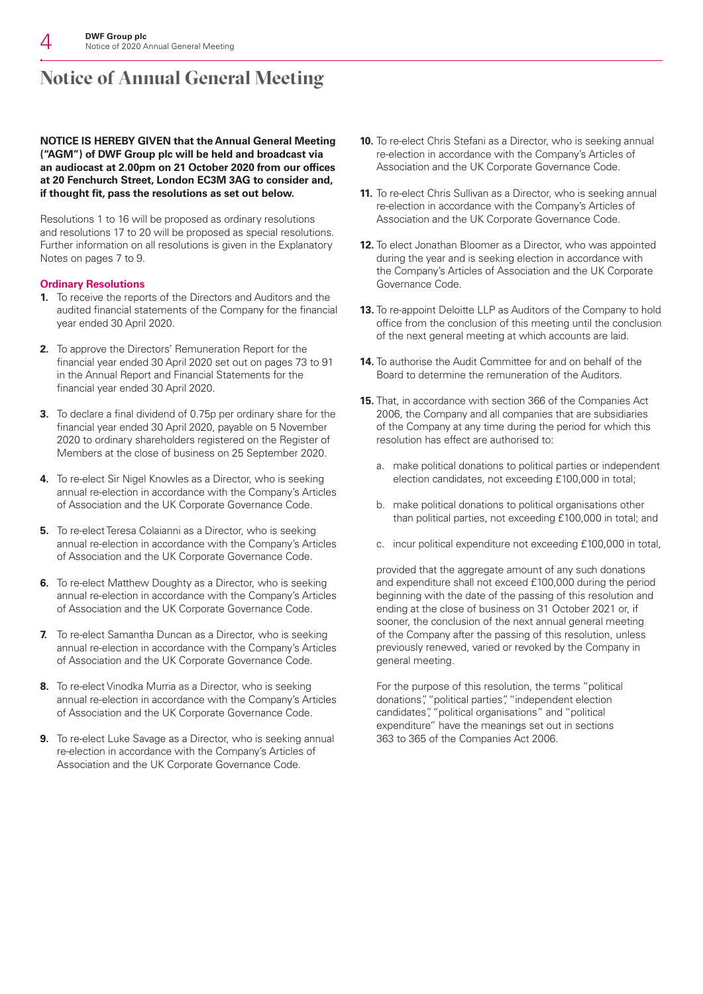# **Notice of Annual General Meeting**

**NOTICE IS HEREBY GIVEN that the Annual General Meeting ("AGM") of DWF Group plc will be held and broadcast via an audiocast at 2.00pm on 21 October 2020 from our offices at 20 Fenchurch Street, London EC3M 3AG to consider and, if thought fit, pass the resolutions as set out below.**

Resolutions 1 to 16 will be proposed as ordinary resolutions and resolutions 17 to 20 will be proposed as special resolutions. Further information on all resolutions is given in the Explanatory Notes on pages 7 to 9.

#### **Ordinary Resolutions**

- **1.** To receive the reports of the Directors and Auditors and the audited financial statements of the Company for the financial year ended 30 April 2020.
- **2.** To approve the Directors' Remuneration Report for the financial year ended 30 April 2020 set out on pages 73 to 91 in the Annual Report and Financial Statements for the financial year ended 30 April 2020.
- **3.** To declare a final dividend of 0.75p per ordinary share for the financial year ended 30 April 2020, payable on 5 November 2020 to ordinary shareholders registered on the Register of Members at the close of business on 25 September 2020.
- **4.** To re-elect Sir Nigel Knowles as a Director, who is seeking annual re-election in accordance with the Company's Articles of Association and the UK Corporate Governance Code.
- **5.** To re-elect Teresa Colaianni as a Director, who is seeking annual re-election in accordance with the Company's Articles of Association and the UK Corporate Governance Code.
- **6.** To re-elect Matthew Doughty as a Director, who is seeking annual re-election in accordance with the Company's Articles of Association and the UK Corporate Governance Code.
- **7.** To re-elect Samantha Duncan as a Director, who is seeking annual re-election in accordance with the Company's Articles of Association and the UK Corporate Governance Code.
- **8.** To re-elect Vinodka Murria as a Director, who is seeking annual re-election in accordance with the Company's Articles of Association and the UK Corporate Governance Code.
- **9.** To re-elect Luke Savage as a Director, who is seeking annual re-election in accordance with the Company's Articles of Association and the UK Corporate Governance Code.
- **10.** To re-elect Chris Stefani as a Director, who is seeking annual re-election in accordance with the Company's Articles of Association and the UK Corporate Governance Code.
- **11.** To re-elect Chris Sullivan as a Director, who is seeking annual re-election in accordance with the Company's Articles of Association and the UK Corporate Governance Code.
- **12.** To elect Jonathan Bloomer as a Director, who was appointed during the year and is seeking election in accordance with the Company's Articles of Association and the UK Corporate Governance Code.
- **13.** To re-appoint Deloitte LLP as Auditors of the Company to hold office from the conclusion of this meeting until the conclusion of the next general meeting at which accounts are laid.
- **14.** To authorise the Audit Committee for and on behalf of the Board to determine the remuneration of the Auditors.
- **15.** That, in accordance with section 366 of the Companies Act 2006, the Company and all companies that are subsidiaries of the Company at any time during the period for which this resolution has effect are authorised to:
	- a. make political donations to political parties or independent election candidates, not exceeding £100,000 in total;
	- b. make political donations to political organisations other than political parties, not exceeding £100,000 in total; and
	- c. incur political expenditure not exceeding £100,000 in total,

provided that the aggregate amount of any such donations and expenditure shall not exceed £100,000 during the period beginning with the date of the passing of this resolution and ending at the close of business on 31 October 2021 or, if sooner, the conclusion of the next annual general meeting of the Company after the passing of this resolution, unless previously renewed, varied or revoked by the Company in general meeting.

For the purpose of this resolution, the terms "political donations", "political parties", "independent election candidates", "political organisations" and "political expenditure" have the meanings set out in sections 363 to 365 of the Companies Act 2006.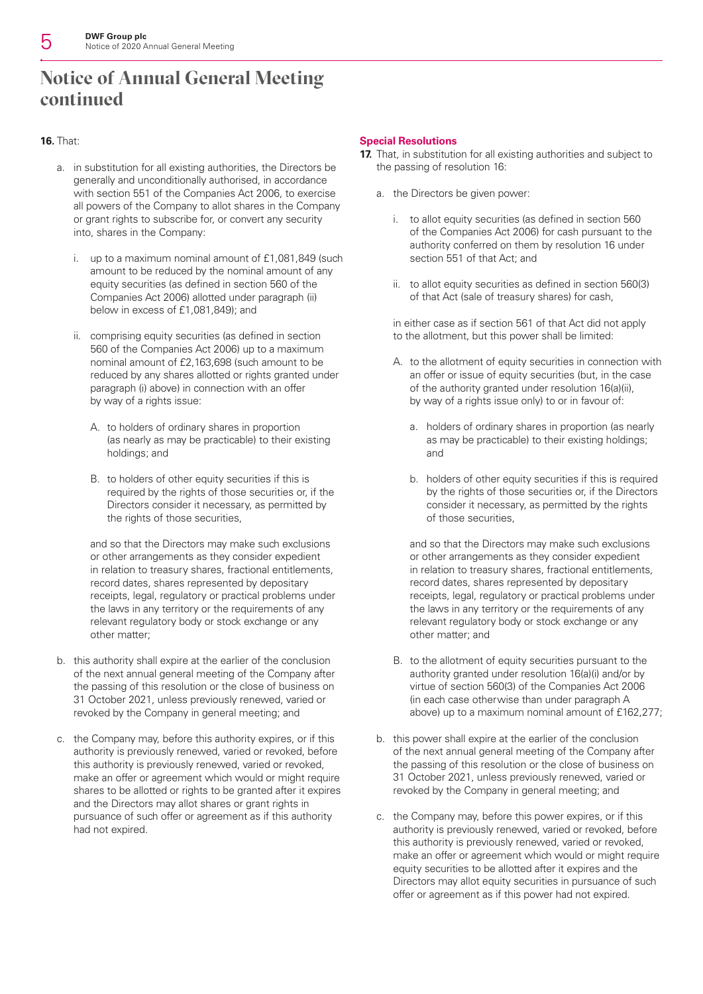# **Notice of Annual General Meeting continued**

### **16.** That:

- a. in substitution for all existing authorities, the Directors be generally and unconditionally authorised, in accordance with section 551 of the Companies Act 2006, to exercise all powers of the Company to allot shares in the Company or grant rights to subscribe for, or convert any security into, shares in the Company:
	- i. up to a maximum nominal amount of £1,081,849 (such amount to be reduced by the nominal amount of any equity securities (as defined in section 560 of the Companies Act 2006) allotted under paragraph (ii) below in excess of £1,081,849); and
	- ii. comprising equity securities (as defined in section 560 of the Companies Act 2006) up to a maximum nominal amount of £2,163,698 (such amount to be reduced by any shares allotted or rights granted under paragraph (i) above) in connection with an offer by way of a rights issue:
		- A. to holders of ordinary shares in proportion (as nearly as may be practicable) to their existing holdings; and
		- B. to holders of other equity securities if this is required by the rights of those securities or, if the Directors consider it necessary, as permitted by the rights of those securities.

and so that the Directors may make such exclusions or other arrangements as they consider expedient in relation to treasury shares, fractional entitlements, record dates, shares represented by depositary receipts, legal, regulatory or practical problems under the laws in any territory or the requirements of any relevant regulatory body or stock exchange or any other matter;

- b. this authority shall expire at the earlier of the conclusion of the next annual general meeting of the Company after the passing of this resolution or the close of business on 31 October 2021, unless previously renewed, varied or revoked by the Company in general meeting; and
- c. the Company may, before this authority expires, or if this authority is previously renewed, varied or revoked, before this authority is previously renewed, varied or revoked, make an offer or agreement which would or might require shares to be allotted or rights to be granted after it expires and the Directors may allot shares or grant rights in pursuance of such offer or agreement as if this authority had not expired.

### **Special Resolutions**

- **17.** That, in substitution for all existing authorities and subject to the passing of resolution 16:
	- a. the Directors be given power:
		- i. to allot equity securities (as defined in section 560 of the Companies Act 2006) for cash pursuant to the authority conferred on them by resolution 16 under section 551 of that Act; and
		- ii. to allot equity securities as defined in section 560(3) of that Act (sale of treasury shares) for cash,

in either case as if section 561 of that Act did not apply to the allotment, but this power shall be limited:

- A. to the allotment of equity securities in connection with an offer or issue of equity securities (but, in the case of the authority granted under resolution 16(a)(ii), by way of a rights issue only) to or in favour of:
	- a. holders of ordinary shares in proportion (as nearly as may be practicable) to their existing holdings; and
	- b. holders of other equity securities if this is required by the rights of those securities or, if the Directors consider it necessary, as permitted by the rights of those securities,

and so that the Directors may make such exclusions or other arrangements as they consider expedient in relation to treasury shares, fractional entitlements, record dates, shares represented by depositary receipts, legal, regulatory or practical problems under the laws in any territory or the requirements of any relevant regulatory body or stock exchange or any other matter; and

- B. to the allotment of equity securities pursuant to the authority granted under resolution 16(a)(i) and/or by virtue of section 560(3) of the Companies Act 2006 (in each case otherwise than under paragraph A above) up to a maximum nominal amount of £162,277;
- b. this power shall expire at the earlier of the conclusion of the next annual general meeting of the Company after the passing of this resolution or the close of business on 31 October 2021, unless previously renewed, varied or revoked by the Company in general meeting; and
- c. the Company may, before this power expires, or if this authority is previously renewed, varied or revoked, before this authority is previously renewed, varied or revoked, make an offer or agreement which would or might require equity securities to be allotted after it expires and the Directors may allot equity securities in pursuance of such offer or agreement as if this power had not expired.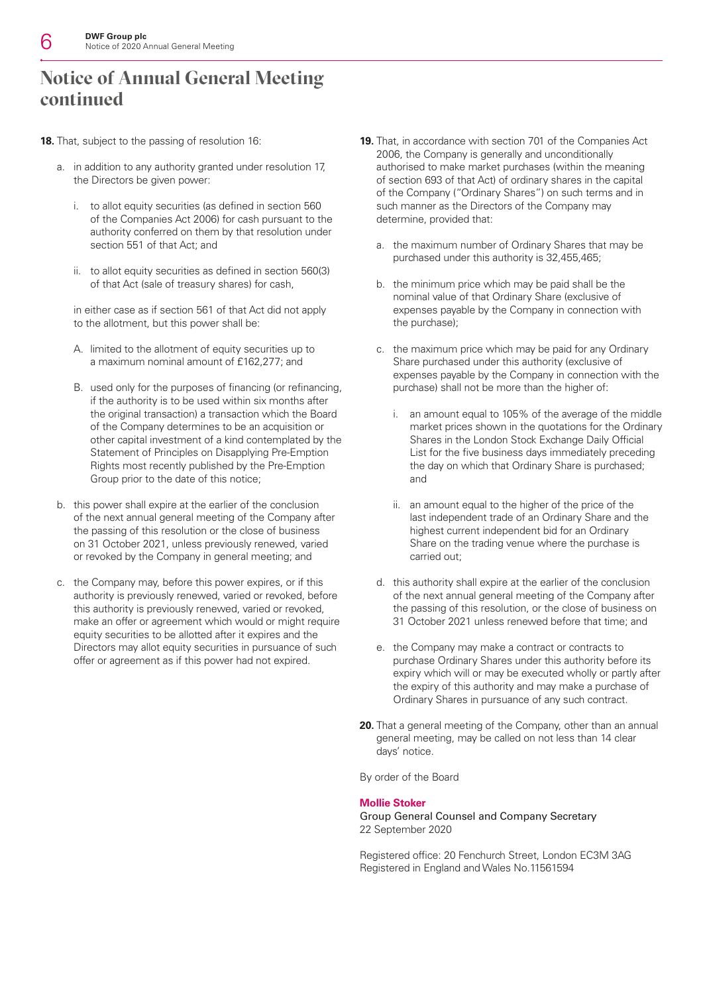# **Notice of Annual General Meeting continued**

**18.** That, subject to the passing of resolution 16:

- a. in addition to any authority granted under resolution 17, the Directors be given power:
	- i. to allot equity securities (as defined in section 560 of the Companies Act 2006) for cash pursuant to the authority conferred on them by that resolution under section 551 of that Act; and
	- ii. to allot equity securities as defined in section 560(3) of that Act (sale of treasury shares) for cash,

in either case as if section 561 of that Act did not apply to the allotment, but this power shall be:

- A. limited to the allotment of equity securities up to a maximum nominal amount of £162,277; and
- B. used only for the purposes of financing (or refinancing, if the authority is to be used within six months after the original transaction) a transaction which the Board of the Company determines to be an acquisition or other capital investment of a kind contemplated by the Statement of Principles on Disapplying Pre-Emption Rights most recently published by the Pre-Emption Group prior to the date of this notice;
- b. this power shall expire at the earlier of the conclusion of the next annual general meeting of the Company after the passing of this resolution or the close of business on 31 October 2021, unless previously renewed, varied or revoked by the Company in general meeting; and
- c. the Company may, before this power expires, or if this authority is previously renewed, varied or revoked, before this authority is previously renewed, varied or revoked, make an offer or agreement which would or might require equity securities to be allotted after it expires and the Directors may allot equity securities in pursuance of such offer or agreement as if this power had not expired.
- **19.** That, in accordance with section 701 of the Companies Act 2006, the Company is generally and unconditionally authorised to make market purchases (within the meaning of section 693 of that Act) of ordinary shares in the capital of the Company ("Ordinary Shares") on such terms and in such manner as the Directors of the Company may determine, provided that:
	- a. the maximum number of Ordinary Shares that may be purchased under this authority is 32,455,465;
	- b. the minimum price which may be paid shall be the nominal value of that Ordinary Share (exclusive of expenses payable by the Company in connection with the purchase);
	- c. the maximum price which may be paid for any Ordinary Share purchased under this authority (exclusive of expenses payable by the Company in connection with the purchase) shall not be more than the higher of:
		- i. an amount equal to 105% of the average of the middle market prices shown in the quotations for the Ordinary Shares in the London Stock Exchange Daily Official List for the five business days immediately preceding the day on which that Ordinary Share is purchased; and
		- ii. an amount equal to the higher of the price of the last independent trade of an Ordinary Share and the highest current independent bid for an Ordinary Share on the trading venue where the purchase is carried out;
	- d. this authority shall expire at the earlier of the conclusion of the next annual general meeting of the Company after the passing of this resolution, or the close of business on 31 October 2021 unless renewed before that time; and
	- e. the Company may make a contract or contracts to purchase Ordinary Shares under this authority before its expiry which will or may be executed wholly or partly after the expiry of this authority and may make a purchase of Ordinary Shares in pursuance of any such contract.
- **20.** That a general meeting of the Company, other than an annual general meeting, may be called on not less than 14 clear days' notice.

By order of the Board

### **Mollie Stoker**

Group General Counsel and Company Secretary 22 September 2020

Registered office: 20 Fenchurch Street, London EC3M 3AG Registered in England and Wales No.11561594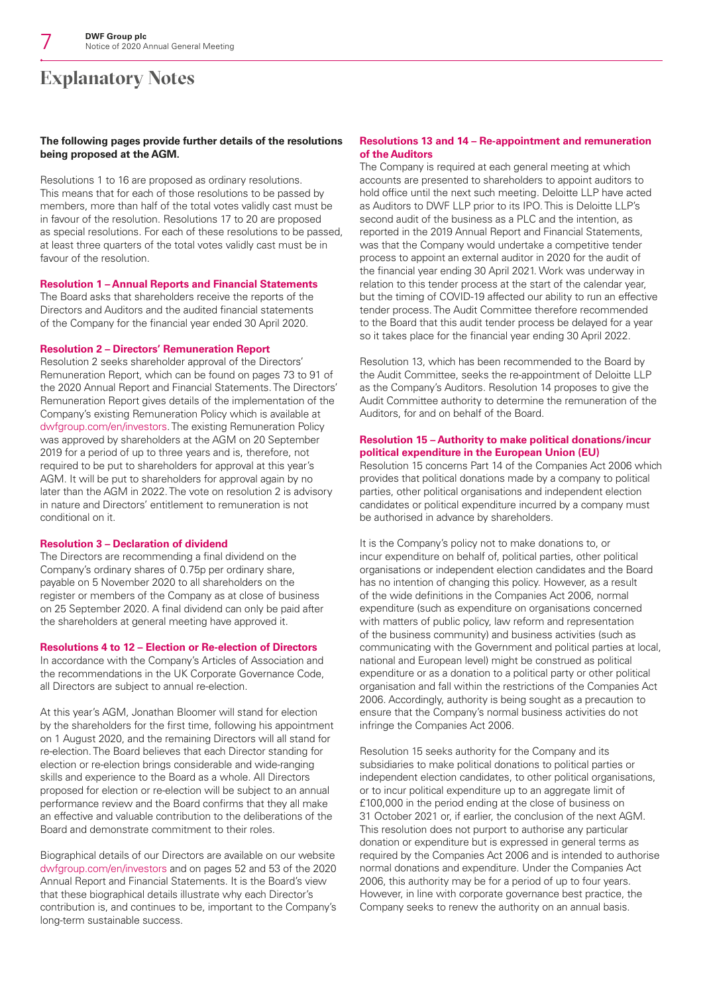### **Explanatory Notes**

#### **The following pages provide further details of the resolutions being proposed at the AGM.**

Resolutions 1 to 16 are proposed as ordinary resolutions. This means that for each of those resolutions to be passed by members, more than half of the total votes validly cast must be in favour of the resolution. Resolutions 17 to 20 are proposed as special resolutions. For each of these resolutions to be passed, at least three quarters of the total votes validly cast must be in favour of the resolution.

#### **Resolution 1 – Annual Reports and Financial Statements**

The Board asks that shareholders receive the reports of the Directors and Auditors and the audited financial statements of the Company for the financial year ended 30 April 2020.

#### **Resolution 2 – Directors' Remuneration Report**

Resolution 2 seeks shareholder approval of the Directors' Remuneration Report, which can be found on pages 73 to 91 of the 2020 Annual Report and Financial Statements. The Directors' Remuneration Report gives details of the implementation of the Company's existing Remuneration Policy which is available at dwfgroup.com/en/investors. The existing Remuneration Policy was approved by shareholders at the AGM on 20 September 2019 for a period of up to three years and is, therefore, not required to be put to shareholders for approval at this year's AGM. It will be put to shareholders for approval again by no later than the AGM in 2022. The vote on resolution 2 is advisory in nature and Directors' entitlement to remuneration is not conditional on it.

#### **Resolution 3 – Declaration of dividend**

The Directors are recommending a final dividend on the Company's ordinary shares of 0.75p per ordinary share, payable on 5 November 2020 to all shareholders on the register or members of the Company as at close of business on 25 September 2020. A final dividend can only be paid after the shareholders at general meeting have approved it.

#### **Resolutions 4 to 12 – Election or Re-election of Directors**

In accordance with the Company's Articles of Association and the recommendations in the UK Corporate Governance Code, all Directors are subject to annual re-election.

At this year's AGM, Jonathan Bloomer will stand for election by the shareholders for the first time, following his appointment on 1 August 2020, and the remaining Directors will all stand for re-election. The Board believes that each Director standing for election or re-election brings considerable and wide-ranging skills and experience to the Board as a whole. All Directors proposed for election or re-election will be subject to an annual performance review and the Board confirms that they all make an effective and valuable contribution to the deliberations of the Board and demonstrate commitment to their roles.

Biographical details of our Directors are available on our website dwfgroup.com/en/investors and on pages 52 and 53 of the 2020 Annual Report and Financial Statements. It is the Board's view that these biographical details illustrate why each Director's contribution is, and continues to be, important to the Company's long-term sustainable success.

#### **Resolutions 13 and 14 – Re-appointment and remuneration of the Auditors**

The Company is required at each general meeting at which accounts are presented to shareholders to appoint auditors to hold office until the next such meeting. Deloitte LLP have acted as Auditors to DWF LLP prior to its IPO. This is Deloitte LLP's second audit of the business as a PLC and the intention, as reported in the 2019 Annual Report and Financial Statements, was that the Company would undertake a competitive tender process to appoint an external auditor in 2020 for the audit of the financial year ending 30 April 2021. Work was underway in relation to this tender process at the start of the calendar year, but the timing of COVID-19 affected our ability to run an effective tender process. The Audit Committee therefore recommended to the Board that this audit tender process be delayed for a year so it takes place for the financial year ending 30 April 2022.

Resolution 13, which has been recommended to the Board by the Audit Committee, seeks the re-appointment of Deloitte LLP as the Company's Auditors. Resolution 14 proposes to give the Audit Committee authority to determine the remuneration of the Auditors, for and on behalf of the Board.

#### **Resolution 15 – Authority to make political donations/incur political expenditure in the European Union (EU)**

Resolution 15 concerns Part 14 of the Companies Act 2006 which provides that political donations made by a company to political parties, other political organisations and independent election candidates or political expenditure incurred by a company must be authorised in advance by shareholders.

It is the Company's policy not to make donations to, or incur expenditure on behalf of, political parties, other political organisations or independent election candidates and the Board has no intention of changing this policy. However, as a result of the wide definitions in the Companies Act 2006, normal expenditure (such as expenditure on organisations concerned with matters of public policy, law reform and representation of the business community) and business activities (such as communicating with the Government and political parties at local, national and European level) might be construed as political expenditure or as a donation to a political party or other political organisation and fall within the restrictions of the Companies Act 2006. Accordingly, authority is being sought as a precaution to ensure that the Company's normal business activities do not infringe the Companies Act 2006.

Resolution 15 seeks authority for the Company and its subsidiaries to make political donations to political parties or independent election candidates, to other political organisations, or to incur political expenditure up to an aggregate limit of £100,000 in the period ending at the close of business on 31 October 2021 or, if earlier, the conclusion of the next AGM. This resolution does not purport to authorise any particular donation or expenditure but is expressed in general terms as required by the Companies Act 2006 and is intended to authorise normal donations and expenditure. Under the Companies Act 2006, this authority may be for a period of up to four years. However, in line with corporate governance best practice, the Company seeks to renew the authority on an annual basis.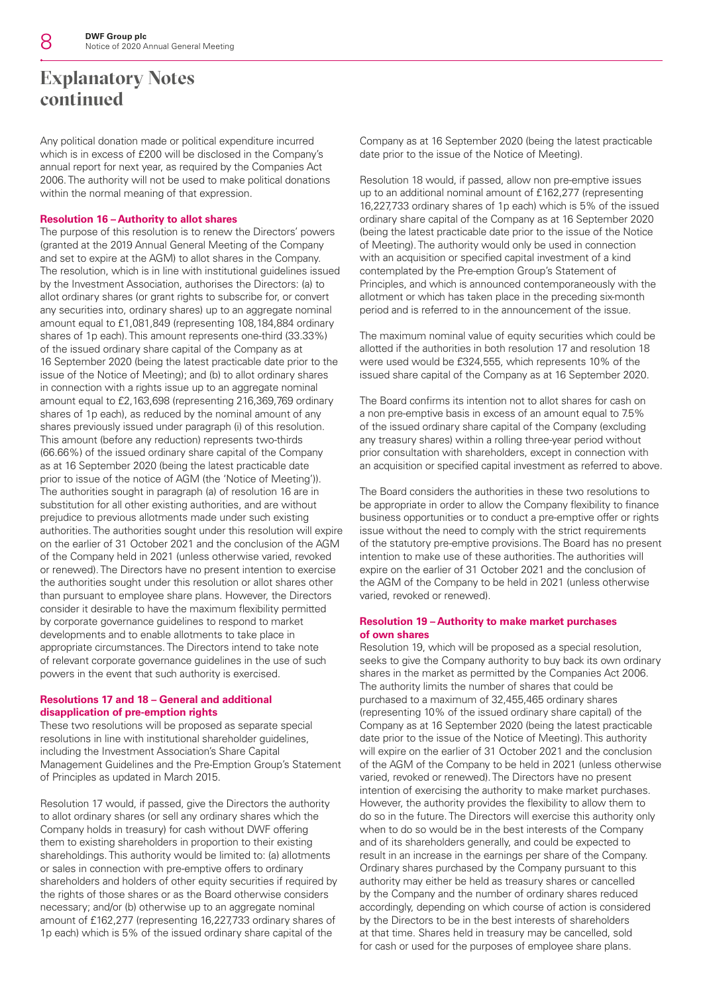# **Explanatory Notes continued**

Any political donation made or political expenditure incurred which is in excess of £200 will be disclosed in the Company's annual report for next year, as required by the Companies Act 2006. The authority will not be used to make political donations within the normal meaning of that expression.

#### **Resolution 16 – Authority to allot shares**

The purpose of this resolution is to renew the Directors' powers (granted at the 2019 Annual General Meeting of the Company and set to expire at the AGM) to allot shares in the Company. The resolution, which is in line with institutional guidelines issued by the Investment Association, authorises the Directors: (a) to allot ordinary shares (or grant rights to subscribe for, or convert any securities into, ordinary shares) up to an aggregate nominal amount equal to £1,081,849 (representing 108,184,884 ordinary shares of 1p each). This amount represents one-third (33.33%) of the issued ordinary share capital of the Company as at 16 September 2020 (being the latest practicable date prior to the issue of the Notice of Meeting); and (b) to allot ordinary shares in connection with a rights issue up to an aggregate nominal amount equal to £2,163,698 (representing 216,369,769 ordinary shares of 1p each), as reduced by the nominal amount of any shares previously issued under paragraph (i) of this resolution. This amount (before any reduction) represents two-thirds (66.66%) of the issued ordinary share capital of the Company as at 16 September 2020 (being the latest practicable date prior to issue of the notice of AGM (the 'Notice of Meeting')). The authorities sought in paragraph (a) of resolution 16 are in substitution for all other existing authorities, and are without prejudice to previous allotments made under such existing authorities. The authorities sought under this resolution will expire on the earlier of 31 October 2021 and the conclusion of the AGM of the Company held in 2021 (unless otherwise varied, revoked or renewed). The Directors have no present intention to exercise the authorities sought under this resolution or allot shares other than pursuant to employee share plans. However, the Directors consider it desirable to have the maximum flexibility permitted by corporate governance guidelines to respond to market developments and to enable allotments to take place in appropriate circumstances. The Directors intend to take note of relevant corporate governance guidelines in the use of such powers in the event that such authority is exercised.

#### **Resolutions 17 and 18 – General and additional disapplication of pre-emption rights**

These two resolutions will be proposed as separate special resolutions in line with institutional shareholder guidelines, including the Investment Association's Share Capital Management Guidelines and the Pre-Emption Group's Statement of Principles as updated in March 2015.

Resolution 17 would, if passed, give the Directors the authority to allot ordinary shares (or sell any ordinary shares which the Company holds in treasury) for cash without DWF offering them to existing shareholders in proportion to their existing shareholdings. This authority would be limited to: (a) allotments or sales in connection with pre-emptive offers to ordinary shareholders and holders of other equity securities if required by the rights of those shares or as the Board otherwise considers necessary; and/or (b) otherwise up to an aggregate nominal amount of £162,277 (representing 16,227,733 ordinary shares of 1p each) which is 5% of the issued ordinary share capital of the

Company as at 16 September 2020 (being the latest practicable date prior to the issue of the Notice of Meeting).

Resolution 18 would, if passed, allow non pre-emptive issues up to an additional nominal amount of £162,277 (representing 16,227,733 ordinary shares of 1p each) which is 5% of the issued ordinary share capital of the Company as at 16 September 2020 (being the latest practicable date prior to the issue of the Notice of Meeting). The authority would only be used in connection with an acquisition or specified capital investment of a kind contemplated by the Pre-emption Group's Statement of Principles, and which is announced contemporaneously with the allotment or which has taken place in the preceding six-month period and is referred to in the announcement of the issue.

The maximum nominal value of equity securities which could be allotted if the authorities in both resolution 17 and resolution 18 were used would be £324,555, which represents 10% of the issued share capital of the Company as at 16 September 2020.

The Board confirms its intention not to allot shares for cash on a non pre-emptive basis in excess of an amount equal to 7.5% of the issued ordinary share capital of the Company (excluding any treasury shares) within a rolling three-year period without prior consultation with shareholders, except in connection with an acquisition or specified capital investment as referred to above.

The Board considers the authorities in these two resolutions to be appropriate in order to allow the Company flexibility to finance business opportunities or to conduct a pre-emptive offer or rights issue without the need to comply with the strict requirements of the statutory pre-emptive provisions. The Board has no present intention to make use of these authorities. The authorities will expire on the earlier of 31 October 2021 and the conclusion of the AGM of the Company to be held in 2021 (unless otherwise varied, revoked or renewed).

### **Resolution 19 – Authority to make market purchases of own shares**

Resolution 19, which will be proposed as a special resolution, seeks to give the Company authority to buy back its own ordinary shares in the market as permitted by the Companies Act 2006. The authority limits the number of shares that could be purchased to a maximum of 32,455,465 ordinary shares (representing 10% of the issued ordinary share capital) of the Company as at 16 September 2020 (being the latest practicable date prior to the issue of the Notice of Meeting). This authority will expire on the earlier of 31 October 2021 and the conclusion of the AGM of the Company to be held in 2021 (unless otherwise varied, revoked or renewed). The Directors have no present intention of exercising the authority to make market purchases. However, the authority provides the flexibility to allow them to do so in the future. The Directors will exercise this authority only when to do so would be in the best interests of the Company and of its shareholders generally, and could be expected to result in an increase in the earnings per share of the Company. Ordinary shares purchased by the Company pursuant to this authority may either be held as treasury shares or cancelled by the Company and the number of ordinary shares reduced accordingly, depending on which course of action is considered by the Directors to be in the best interests of shareholders at that time. Shares held in treasury may be cancelled, sold for cash or used for the purposes of employee share plans.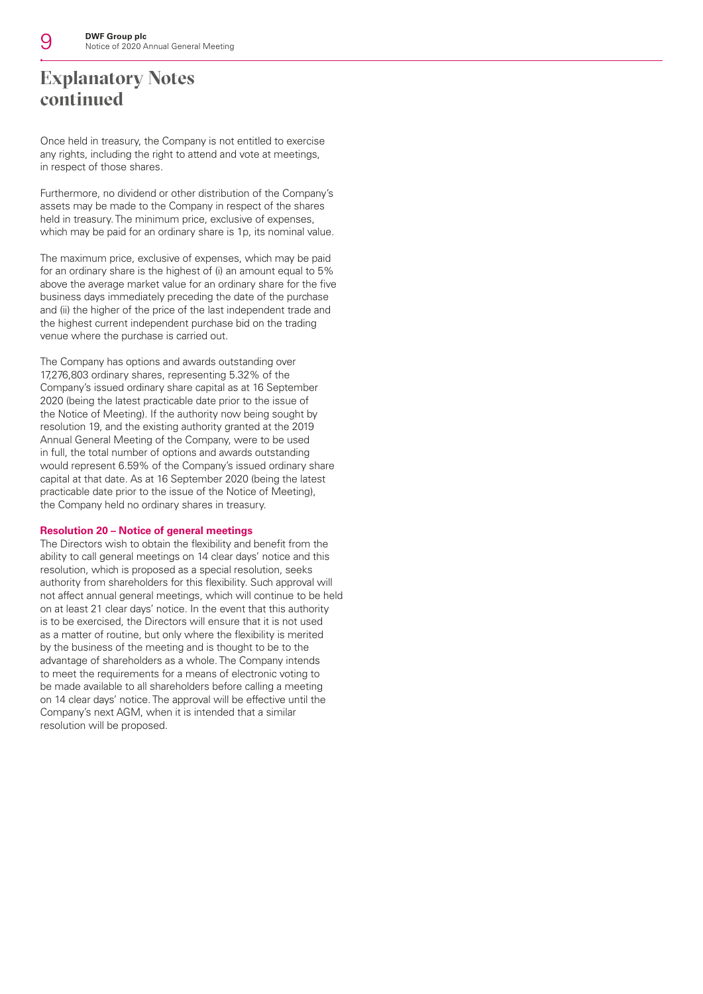# **Explanatory Notes continued**

Once held in treasury, the Company is not entitled to exercise any rights, including the right to attend and vote at meetings, in respect of those shares.

Furthermore, no dividend or other distribution of the Company's assets may be made to the Company in respect of the shares held in treasury. The minimum price, exclusive of expenses. which may be paid for an ordinary share is 1p, its nominal value.

The maximum price, exclusive of expenses, which may be paid for an ordinary share is the highest of (i) an amount equal to 5% above the average market value for an ordinary share for the five business days immediately preceding the date of the purchase and (ii) the higher of the price of the last independent trade and the highest current independent purchase bid on the trading venue where the purchase is carried out.

The Company has options and awards outstanding over 17,276,803 ordinary shares, representing 5.32% of the Company's issued ordinary share capital as at 16 September 2020 (being the latest practicable date prior to the issue of the Notice of Meeting). If the authority now being sought by resolution 19, and the existing authority granted at the 2019 Annual General Meeting of the Company, were to be used in full, the total number of options and awards outstanding would represent 6.59% of the Company's issued ordinary share capital at that date. As at 16 September 2020 (being the latest practicable date prior to the issue of the Notice of Meeting), the Company held no ordinary shares in treasury.

### **Resolution 20 – Notice of general meetings**

The Directors wish to obtain the flexibility and benefit from the ability to call general meetings on 14 clear days' notice and this resolution, which is proposed as a special resolution, seeks authority from shareholders for this flexibility. Such approval will not affect annual general meetings, which will continue to be held on at least 21 clear days' notice. In the event that this authority is to be exercised, the Directors will ensure that it is not used as a matter of routine, but only where the flexibility is merited by the business of the meeting and is thought to be to the advantage of shareholders as a whole. The Company intends to meet the requirements for a means of electronic voting to be made available to all shareholders before calling a meeting on 14 clear days' notice. The approval will be effective until the Company's next AGM, when it is intended that a similar resolution will be proposed.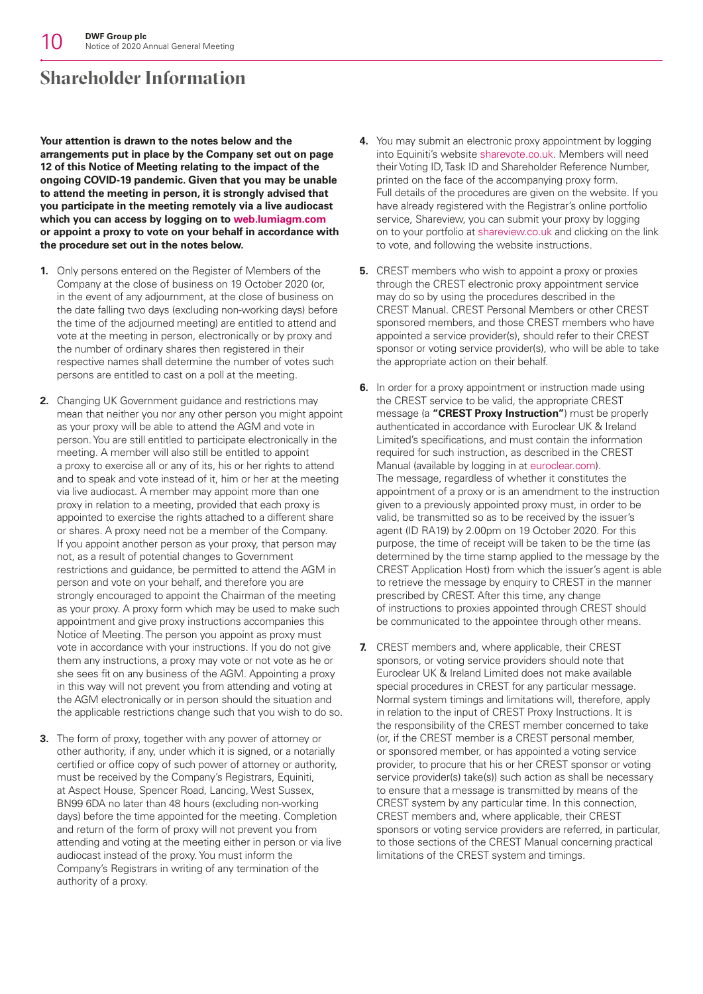# **Shareholder Information**

**Your attention is drawn to the notes below and the arrangements put in place by the Company set out on page 12 of this Notice of Meeting relating to the impact of the ongoing COVID-19 pandemic. Given that you may be unable to attend the meeting in person, it is strongly advised that you participate in the meeting remotely via a live audiocast which you can access by logging on to web.lumiagm.com or appoint a proxy to vote on your behalf in accordance with the procedure set out in the notes below.**

- **1.** Only persons entered on the Register of Members of the Company at the close of business on 19 October 2020 (or, in the event of any adjournment, at the close of business on the date falling two days (excluding non-working days) before the time of the adjourned meeting) are entitled to attend and vote at the meeting in person, electronically or by proxy and the number of ordinary shares then registered in their respective names shall determine the number of votes such persons are entitled to cast on a poll at the meeting.
- **2.** Changing UK Government guidance and restrictions may mean that neither you nor any other person you might appoint as your proxy will be able to attend the AGM and vote in person. You are still entitled to participate electronically in the meeting. A member will also still be entitled to appoint a proxy to exercise all or any of its, his or her rights to attend and to speak and vote instead of it, him or her at the meeting via live audiocast. A member may appoint more than one proxy in relation to a meeting, provided that each proxy is appointed to exercise the rights attached to a different share or shares. A proxy need not be a member of the Company. If you appoint another person as your proxy, that person may not, as a result of potential changes to Government restrictions and guidance, be permitted to attend the AGM in person and vote on your behalf, and therefore you are strongly encouraged to appoint the Chairman of the meeting as your proxy. A proxy form which may be used to make such appointment and give proxy instructions accompanies this Notice of Meeting. The person you appoint as proxy must vote in accordance with your instructions. If you do not give them any instructions, a proxy may vote or not vote as he or she sees fit on any business of the AGM. Appointing a proxy in this way will not prevent you from attending and voting at the AGM electronically or in person should the situation and the applicable restrictions change such that you wish to do so.
- **3.** The form of proxy, together with any power of attorney or other authority, if any, under which it is signed, or a notarially certified or office copy of such power of attorney or authority, must be received by the Company's Registrars, Equiniti, at Aspect House, Spencer Road, Lancing, West Sussex, BN99 6DA no later than 48 hours (excluding non-working days) before the time appointed for the meeting. Completion and return of the form of proxy will not prevent you from attending and voting at the meeting either in person or via live audiocast instead of the proxy. You must inform the Company's Registrars in writing of any termination of the authority of a proxy.
- **4.** You may submit an electronic proxy appointment by logging into Equiniti's website sharevote.co.uk. Members will need their Voting ID, Task ID and Shareholder Reference Number, printed on the face of the accompanying proxy form. Full details of the procedures are given on the website. If you have already registered with the Registrar's online portfolio service, Shareview, you can submit your proxy by logging on to your portfolio at shareview.co.uk and clicking on the link to vote, and following the website instructions.
- **5.** CREST members who wish to appoint a proxy or proxies through the CREST electronic proxy appointment service may do so by using the procedures described in the CREST Manual. CREST Personal Members or other CREST sponsored members, and those CREST members who have appointed a service provider(s), should refer to their CREST sponsor or voting service provider(s), who will be able to take the appropriate action on their behalf.
- **6.** In order for a proxy appointment or instruction made using the CREST service to be valid, the appropriate CREST message (a **"CREST Proxy Instruction"**) must be properly authenticated in accordance with Euroclear UK & Ireland Limited's specifications, and must contain the information required for such instruction, as described in the CREST Manual (available by logging in at euroclear.com). The message, regardless of whether it constitutes the appointment of a proxy or is an amendment to the instruction given to a previously appointed proxy must, in order to be valid, be transmitted so as to be received by the issuer's agent (ID RA19) by 2.00pm on 19 October 2020. For this purpose, the time of receipt will be taken to be the time (as determined by the time stamp applied to the message by the CREST Application Host) from which the issuer's agent is able to retrieve the message by enquiry to CREST in the manner prescribed by CREST. After this time, any change of instructions to proxies appointed through CREST should be communicated to the appointee through other means.
- **7.** CREST members and, where applicable, their CREST sponsors, or voting service providers should note that Euroclear UK & Ireland Limited does not make available special procedures in CREST for any particular message. Normal system timings and limitations will, therefore, apply in relation to the input of CREST Proxy Instructions. It is the responsibility of the CREST member concerned to take (or, if the CREST member is a CREST personal member, or sponsored member, or has appointed a voting service provider, to procure that his or her CREST sponsor or voting service provider(s) take(s)) such action as shall be necessary to ensure that a message is transmitted by means of the CREST system by any particular time. In this connection, CREST members and, where applicable, their CREST sponsors or voting service providers are referred, in particular, to those sections of the CREST Manual concerning practical limitations of the CREST system and timings.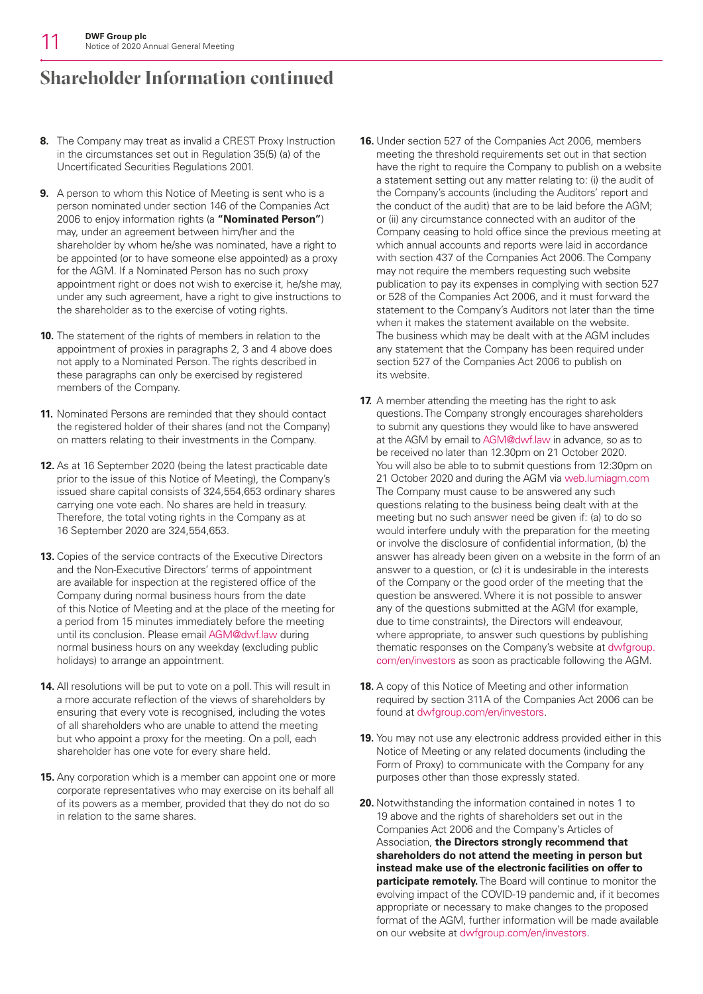# **Shareholder Information continued**

- **8.** The Company may treat as invalid a CREST Proxy Instruction in the circumstances set out in Regulation 35(5) (a) of the Uncertificated Securities Regulations 2001.
- **9.** A person to whom this Notice of Meeting is sent who is a person nominated under section 146 of the Companies Act 2006 to enjoy information rights (a **"Nominated Person"**) may, under an agreement between him/her and the shareholder by whom he/she was nominated, have a right to be appointed (or to have someone else appointed) as a proxy for the AGM. If a Nominated Person has no such proxy appointment right or does not wish to exercise it, he/she may, under any such agreement, have a right to give instructions to the shareholder as to the exercise of voting rights.
- **10.** The statement of the rights of members in relation to the appointment of proxies in paragraphs 2, 3 and 4 above does not apply to a Nominated Person. The rights described in these paragraphs can only be exercised by registered members of the Company.
- **11.** Nominated Persons are reminded that they should contact the registered holder of their shares (and not the Company) on matters relating to their investments in the Company.
- **12.** As at 16 September 2020 (being the latest practicable date prior to the issue of this Notice of Meeting), the Company's issued share capital consists of 324,554,653 ordinary shares carrying one vote each. No shares are held in treasury. Therefore, the total voting rights in the Company as at 16 September 2020 are 324,554,653.
- **13.** Copies of the service contracts of the Executive Directors and the Non-Executive Directors' terms of appointment are available for inspection at the registered office of the Company during normal business hours from the date of this Notice of Meeting and at the place of the meeting for a period from 15 minutes immediately before the meeting until its conclusion. Please email AGM@dwf.law during normal business hours on any weekday (excluding public holidays) to arrange an appointment.
- **14.** All resolutions will be put to vote on a poll. This will result in a more accurate reflection of the views of shareholders by ensuring that every vote is recognised, including the votes of all shareholders who are unable to attend the meeting but who appoint a proxy for the meeting. On a poll, each shareholder has one vote for every share held.
- **15.** Any corporation which is a member can appoint one or more corporate representatives who may exercise on its behalf all of its powers as a member, provided that they do not do so in relation to the same shares.
- **16.** Under section 527 of the Companies Act 2006, members meeting the threshold requirements set out in that section have the right to require the Company to publish on a website a statement setting out any matter relating to: (i) the audit of the Company's accounts (including the Auditors' report and the conduct of the audit) that are to be laid before the AGM; or (ii) any circumstance connected with an auditor of the Company ceasing to hold office since the previous meeting at which annual accounts and reports were laid in accordance with section 437 of the Companies Act 2006. The Company may not require the members requesting such website publication to pay its expenses in complying with section 527 or 528 of the Companies Act 2006, and it must forward the statement to the Company's Auditors not later than the time when it makes the statement available on the website. The business which may be dealt with at the AGM includes any statement that the Company has been required under section 527 of the Companies Act 2006 to publish on its website.
- **17.** A member attending the meeting has the right to ask questions. The Company strongly encourages shareholders to submit any questions they would like to have answered at the AGM by email to AGM@dwf.law in advance, so as to be received no later than 12.30pm on 21 October 2020. You will also be able to to submit questions from 12:30pm on 21 October 2020 and during the AGM via web.lumiagm.com The Company must cause to be answered any such questions relating to the business being dealt with at the meeting but no such answer need be given if: (a) to do so would interfere unduly with the preparation for the meeting or involve the disclosure of confidential information, (b) the answer has already been given on a website in the form of an answer to a question, or (c) it is undesirable in the interests of the Company or the good order of the meeting that the question be answered. Where it is not possible to answer any of the questions submitted at the AGM (for example, due to time constraints), the Directors will endeavour, where appropriate, to answer such questions by publishing thematic responses on the Company's website at dwfgroup. com/en/investors as soon as practicable following the AGM.
- **18.** A copy of this Notice of Meeting and other information required by section 311A of the Companies Act 2006 can be found at dwfgroup.com/en/investors.
- **19.** You may not use any electronic address provided either in this Notice of Meeting or any related documents (including the Form of Proxy) to communicate with the Company for any purposes other than those expressly stated.
- **20.** Notwithstanding the information contained in notes 1 to 19 above and the rights of shareholders set out in the Companies Act 2006 and the Company's Articles of Association, **the Directors strongly recommend that shareholders do not attend the meeting in person but instead make use of the electronic facilities on offer to participate remotely.** The Board will continue to monitor the evolving impact of the COVID-19 pandemic and, if it becomes appropriate or necessary to make changes to the proposed format of the AGM, further information will be made available on our website at dwfgroup.com/en/investors.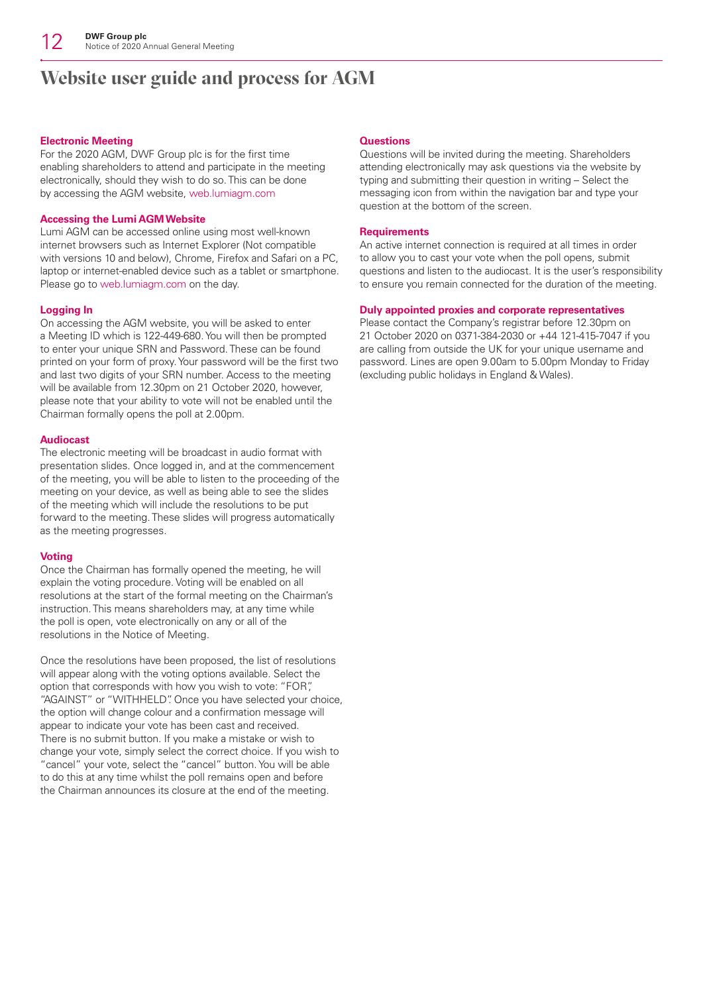# **Website user guide and process for AGM**

#### **Electronic Meeting**

For the 2020 AGM, DWF Group plc is for the first time enabling shareholders to attend and participate in the meeting electronically, should they wish to do so. This can be done by accessing the AGM website, web.lumiagm.com

#### **Accessing the Lumi AGM Website**

Lumi AGM can be accessed online using most well-known internet browsers such as Internet Explorer (Not compatible with versions 10 and below), Chrome, Firefox and Safari on a PC, laptop or internet-enabled device such as a tablet or smartphone. Please go to web.lumiagm.com on the day.

#### **Logging In**

On accessing the AGM website, you will be asked to enter a Meeting ID which is 122-449-680. You will then be prompted to enter your unique SRN and Password. These can be found printed on your form of proxy. Your password will be the first two and last two digits of your SRN number. Access to the meeting will be available from 12.30pm on 21 October 2020, however, please note that your ability to vote will not be enabled until the Chairman formally opens the poll at 2.00pm.

#### **Audiocast**

The electronic meeting will be broadcast in audio format with presentation slides. Once logged in, and at the commencement of the meeting, you will be able to listen to the proceeding of the meeting on your device, as well as being able to see the slides of the meeting which will include the resolutions to be put forward to the meeting. These slides will progress automatically as the meeting progresses.

### **Voting**

Once the Chairman has formally opened the meeting, he will explain the voting procedure. Voting will be enabled on all resolutions at the start of the formal meeting on the Chairman's instruction. This means shareholders may, at any time while the poll is open, vote electronically on any or all of the resolutions in the Notice of Meeting.

Once the resolutions have been proposed, the list of resolutions will appear along with the voting options available. Select the option that corresponds with how you wish to vote: "FOR", "AGAINST" or "WITHHELD". Once you have selected your choice, the option will change colour and a confirmation message will appear to indicate your vote has been cast and received. There is no submit button. If you make a mistake or wish to change your vote, simply select the correct choice. If you wish to "cancel" your vote, select the "cancel" button. You will be able to do this at any time whilst the poll remains open and before the Chairman announces its closure at the end of the meeting.

#### **Questions**

Questions will be invited during the meeting. Shareholders attending electronically may ask questions via the website by typing and submitting their question in writing – Select the messaging icon from within the navigation bar and type your question at the bottom of the screen.

### **Requirements**

An active internet connection is required at all times in order to allow you to cast your vote when the poll opens, submit questions and listen to the audiocast. It is the user's responsibility to ensure you remain connected for the duration of the meeting.

#### **Duly appointed proxies and corporate representatives**

Please contact the Company's registrar before 12.30pm on 21 October 2020 on 0371-384-2030 or +44 121-415-7047 if you are calling from outside the UK for your unique username and password. Lines are open 9.00am to 5.00pm Monday to Friday (excluding public holidays in England & Wales).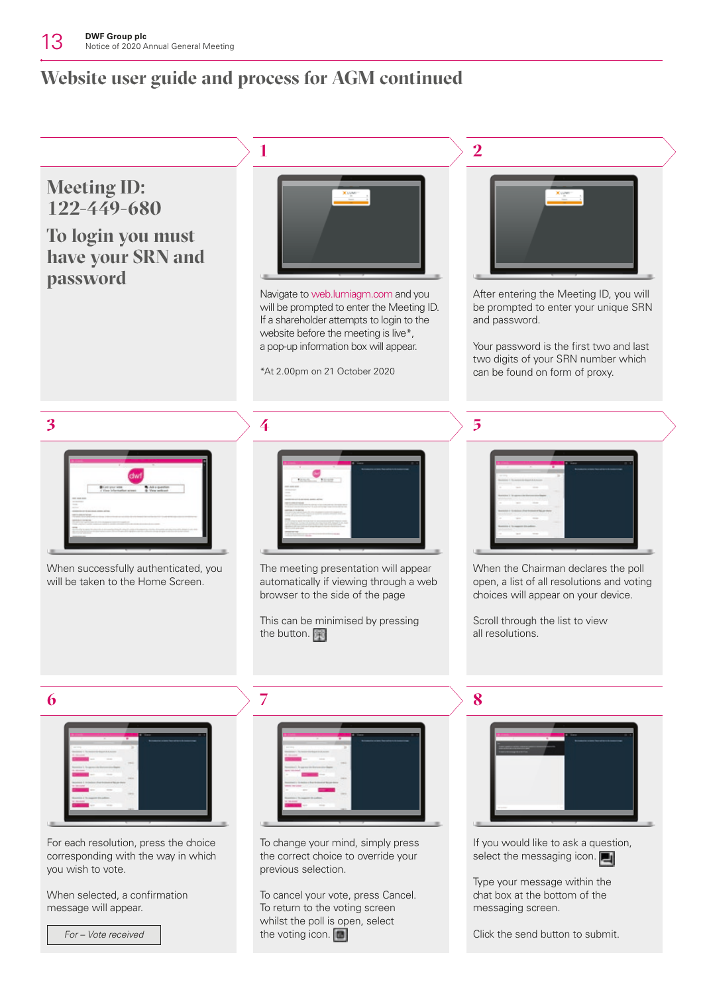# **Website user guide and process for AGM continued**